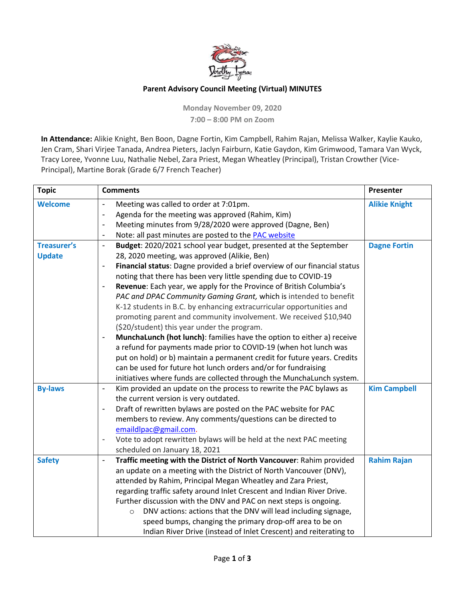

## **Parent Advisory Council Meeting (Virtual) MINUTES**

**Monday November 09, 2020 7:00 – 8:00 PM on Zoom**

**In Attendance:** Alikie Knight, Ben Boon, Dagne Fortin, Kim Campbell, Rahim Rajan, Melissa Walker, Kaylie Kauko, Jen Cram, Shari Virjee Tanada, Andrea Pieters, Jaclyn Fairburn, Katie Gaydon, Kim Grimwood, Tamara Van Wyck, Tracy Loree, Yvonne Luu, Nathalie Nebel, Zara Priest, Megan Wheatley (Principal), Tristan Crowther (Vice-Principal), Martine Borak (Grade 6/7 French Teacher)

| <b>Topic</b>       | <b>Comments</b>                                                                                     | Presenter            |
|--------------------|-----------------------------------------------------------------------------------------------------|----------------------|
| <b>Welcome</b>     | Meeting was called to order at 7:01pm.<br>$\blacksquare$                                            | <b>Alikie Knight</b> |
|                    | Agenda for the meeting was approved (Rahim, Kim)<br>$\qquad \qquad \blacksquare$                    |                      |
|                    | Meeting minutes from 9/28/2020 were approved (Dagne, Ben)<br>$\overline{\phantom{a}}$               |                      |
|                    | Note: all past minutes are posted to the <b>PAC</b> website<br>$\overline{\phantom{a}}$             |                      |
| <b>Treasurer's</b> | Budget: 2020/2021 school year budget, presented at the September<br>$\blacksquare$                  | <b>Dagne Fortin</b>  |
| <b>Update</b>      | 28, 2020 meeting, was approved (Alikie, Ben)                                                        |                      |
|                    | Financial status: Dagne provided a brief overview of our financial status<br>$\blacksquare$         |                      |
|                    | noting that there has been very little spending due to COVID-19                                     |                      |
|                    | Revenue: Each year, we apply for the Province of British Columbia's<br>$\overline{\phantom{a}}$     |                      |
|                    | PAC and DPAC Community Gaming Grant, which is intended to benefit                                   |                      |
|                    | K-12 students in B.C. by enhancing extracurricular opportunities and                                |                      |
|                    | promoting parent and community involvement. We received \$10,940                                    |                      |
|                    | (\$20/student) this year under the program.                                                         |                      |
|                    | MunchaLunch (hot lunch): families have the option to either a) receive<br>$\overline{\phantom{a}}$  |                      |
|                    | a refund for payments made prior to COVID-19 (when hot lunch was                                    |                      |
|                    | put on hold) or b) maintain a permanent credit for future years. Credits                            |                      |
|                    | can be used for future hot lunch orders and/or for fundraising                                      |                      |
|                    | initiatives where funds are collected through the MunchaLunch system.                               |                      |
| <b>By-laws</b>     | Kim provided an update on the process to rewrite the PAC bylaws as<br>$\blacksquare$                | <b>Kim Campbell</b>  |
|                    | the current version is very outdated.                                                               |                      |
|                    | Draft of rewritten bylaws are posted on the PAC website for PAC<br>$\overline{\phantom{a}}$         |                      |
|                    | members to review. Any comments/questions can be directed to                                        |                      |
|                    | emaildlpac@gmail.com.                                                                               |                      |
|                    | Vote to adopt rewritten bylaws will be held at the next PAC meeting<br>$\qquad \qquad \blacksquare$ |                      |
|                    | scheduled on January 18, 2021                                                                       |                      |
| <b>Safety</b>      | Traffic meeting with the District of North Vancouver: Rahim provided<br>$\overline{\phantom{a}}$    | <b>Rahim Rajan</b>   |
|                    | an update on a meeting with the District of North Vancouver (DNV),                                  |                      |
|                    | attended by Rahim, Principal Megan Wheatley and Zara Priest,                                        |                      |
|                    | regarding traffic safety around Inlet Crescent and Indian River Drive.                              |                      |
|                    | Further discussion with the DNV and PAC on next steps is ongoing.                                   |                      |
|                    | DNV actions: actions that the DNV will lead including signage,<br>$\circ$                           |                      |
|                    | speed bumps, changing the primary drop-off area to be on                                            |                      |
|                    | Indian River Drive (instead of Inlet Crescent) and reiterating to                                   |                      |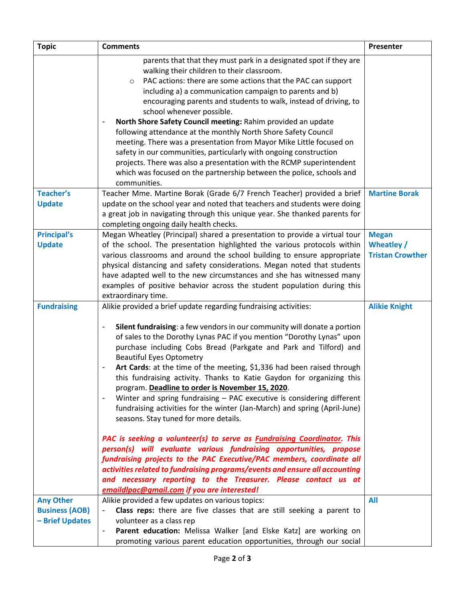| <b>Topic</b>          | <b>Comments</b>                                                                                          | Presenter               |
|-----------------------|----------------------------------------------------------------------------------------------------------|-------------------------|
|                       | parents that that they must park in a designated spot if they are                                        |                         |
|                       | walking their children to their classroom.                                                               |                         |
|                       | PAC actions: there are some actions that the PAC can support<br>$\circ$                                  |                         |
|                       | including a) a communication campaign to parents and b)                                                  |                         |
|                       | encouraging parents and students to walk, instead of driving, to                                         |                         |
|                       | school whenever possible.                                                                                |                         |
|                       | North Shore Safety Council meeting: Rahim provided an update<br>$\qquad \qquad \blacksquare$             |                         |
|                       | following attendance at the monthly North Shore Safety Council                                           |                         |
|                       | meeting. There was a presentation from Mayor Mike Little focused on                                      |                         |
|                       | safety in our communities, particularly with ongoing construction                                        |                         |
|                       | projects. There was also a presentation with the RCMP superintendent                                     |                         |
|                       | which was focused on the partnership between the police, schools and                                     |                         |
|                       | communities.                                                                                             |                         |
| <b>Teacher's</b>      | Teacher Mme. Martine Borak (Grade 6/7 French Teacher) provided a brief                                   | <b>Martine Borak</b>    |
| <b>Update</b>         | update on the school year and noted that teachers and students were doing                                |                         |
|                       | a great job in navigating through this unique year. She thanked parents for                              |                         |
|                       | completing ongoing daily health checks.                                                                  |                         |
| <b>Principal's</b>    | Megan Wheatley (Principal) shared a presentation to provide a virtual tour                               | <b>Megan</b>            |
| <b>Update</b>         | of the school. The presentation highlighted the various protocols within                                 | Wheatley /              |
|                       | various classrooms and around the school building to ensure appropriate                                  | <b>Tristan Crowther</b> |
|                       | physical distancing and safety considerations. Megan noted that students                                 |                         |
|                       | have adapted well to the new circumstances and she has witnessed many                                    |                         |
|                       | examples of positive behavior across the student population during this                                  |                         |
|                       | extraordinary time.                                                                                      |                         |
| <b>Fundraising</b>    | Alikie provided a brief update regarding fundraising activities:                                         | <b>Alikie Knight</b>    |
|                       |                                                                                                          |                         |
|                       | Silent fundraising: a few vendors in our community will donate a portion<br>-                            |                         |
|                       | of sales to the Dorothy Lynas PAC if you mention "Dorothy Lynas" upon                                    |                         |
|                       | purchase including Cobs Bread (Parkgate and Park and Tilford) and<br><b>Beautiful Eyes Optometry</b>     |                         |
|                       | Art Cards: at the time of the meeting, \$1,336 had been raised through<br>-                              |                         |
|                       | this fundraising activity. Thanks to Katie Gaydon for organizing this                                    |                         |
|                       | program. Deadline to order is November 15, 2020.                                                         |                         |
|                       | Winter and spring fundraising $-$ PAC executive is considering different<br>$\qquad \qquad \blacksquare$ |                         |
|                       | fundraising activities for the winter (Jan-March) and spring (April-June)                                |                         |
|                       | seasons. Stay tuned for more details.                                                                    |                         |
|                       |                                                                                                          |                         |
|                       | PAC is seeking a volunteer(s) to serve as <b>Fundraising Coordinator</b> . This                          |                         |
|                       | person(s) will evaluate various fundraising opportunities, propose                                       |                         |
|                       | fundraising projects to the PAC Executive/PAC members, coordinate all                                    |                         |
|                       | activities related to fundraising programs/events and ensure all accounting                              |                         |
|                       | and necessary reporting to the Treasurer. Please contact us at                                           |                         |
|                       | emaildlpac@gmail.com if you are interested!                                                              |                         |
| <b>Any Other</b>      | Alikie provided a few updates on various topics:                                                         | <b>All</b>              |
| <b>Business (AOB)</b> | Class reps: there are five classes that are still seeking a parent to                                    |                         |
| - Brief Updates       | volunteer as a class rep                                                                                 |                         |
|                       | Parent education: Melissa Walker [and Elske Katz] are working on<br>-                                    |                         |
|                       | promoting various parent education opportunities, through our social                                     |                         |